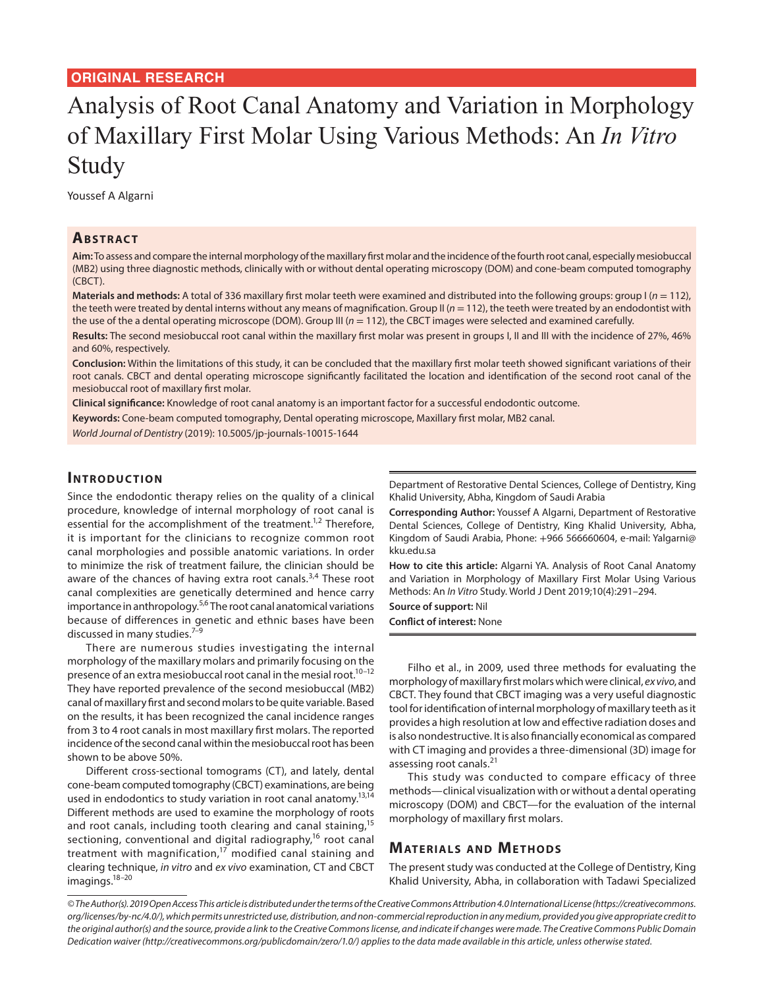# Analysis of Root Canal Anatomy and Variation in Morphology of Maxillary First Molar Using Various Methods: An *In Vitro* Study

Youssef A Algarni

## **ABSTRACT**

**Aim:** To assess and compare the internal morphology of the maxillary first molar and the incidence of the fourth root canal, especially mesiobuccal (MB2) using three diagnostic methods, clinically with or without dental operating microscopy (DOM) and cone-beam computed tomography (CBCT).

**Materials and methods:** A total of 336 maxillary first molar teeth were examined and distributed into the following groups: group I (*n* = 112), the teeth were treated by dental interns without any means of magnification. Group II ( $n = 112$ ), the teeth were treated by an endodontist with the use of the a dental operating microscope (DOM). Group III (*n* = 112), the CBCT images were selected and examined carefully.

**Results:** The second mesiobuccal root canal within the maxillary first molar was present in groups I, II and III with the incidence of 27%, 46% and 60%, respectively.

**Conclusion:** Within the limitations of this study, it can be concluded that the maxillary first molar teeth showed significant variations of their root canals. CBCT and dental operating microscope significantly facilitated the location and identification of the second root canal of the mesiobuccal root of maxillary first molar.

**Clinical significance:** Knowledge of root canal anatomy is an important factor for a successful endodontic outcome.

**Keywords:** Cone-beam computed tomography, Dental operating microscope, Maxillary first molar, MB2 canal.

*World Journal of Dentistry* (2019): 10.5005/jp-journals-10015-1644

#### **INTRODUCTION**

Since the endodontic therapy relies on the quality of a clinical procedure, knowledge of internal morphology of root canal is essential for the accomplishment of the treatment.<sup>1,2</sup> Therefore, it is important for the clinicians to recognize common root canal morphologies and possible anatomic variations. In order to minimize the risk of treatment failure, the clinician should be aware of the chances of having extra root canals.<sup>3,4</sup> These root canal complexities are genetically determined and hence carry importance in anthropology.<sup>5,6</sup> The root canal anatomical variations because of differences in genetic and ethnic bases have been discussed in many studies.<sup>7-9</sup>

There are numerous studies investigating the internal morphology of the maxillary molars and primarily focusing on the presence of an extra mesiobuccal root canal in the mesial root.<sup>10-12</sup> They have reported prevalence of the second mesiobuccal (MB2) canal of maxillary first and second molars to be quite variable. Based on the results, it has been recognized the canal incidence ranges from 3 to 4 root canals in most maxillary first molars. The reported incidence of the second canal within the mesiobuccal root has been shown to be above 50%.

Different cross-sectional tomograms (CT), and lately, dental cone-beam computed tomography (CBCT) examinations, are being used in endodontics to study variation in root canal anatomy.<sup>13,14</sup> Different methods are used to examine the morphology of roots and root canals, including tooth clearing and canal staining,<sup>15</sup> sectioning, conventional and digital radiography,<sup>16</sup> root canal treatment with magnification,<sup>17</sup> modified canal staining and clearing technique, *in vitro* and *ex vivo* examination, CT and CBCT imagings.18–20

Department of Restorative Dental Sciences, College of Dentistry, King Khalid University, Abha, Kingdom of Saudi Arabia

**Corresponding Author:** Youssef A Algarni, Department of Restorative Dental Sciences, College of Dentistry, King Khalid University, Abha, Kingdom of Saudi Arabia, Phone: +966 566660604, e-mail: Yalgarni@ kku.edu.sa

**How to cite this article:** Algarni YA. Analysis of Root Canal Anatomy and Variation in Morphology of Maxillary First Molar Using Various Methods: An *In Vitro* Study. World J Dent 2019;10(4):291–294.

**Source of support:** Nil

**Conflict of interest:** None

Filho et al., in 2009, used three methods for evaluating the morphology of maxillary first molars which were clinical, *ex vivo*, and CBCT. They found that CBCT imaging was a very useful diagnostic tool for identification of internal morphology of maxillary teeth as it provides a high resolution at low and effective radiation doses and is also nondestructive. It is also financially economical as compared with CT imaging and provides a three-dimensional (3D) image for assessing root canals.<sup>21</sup>

This study was conducted to compare efficacy of three methods—clinical visualization with or without a dental operating microscopy (DOM) and CBCT—for the evaluation of the internal morphology of maxillary first molars.

#### **MATERIALS AND METHODS**

The present study was conducted at the College of Dentistry, King Khalid University, Abha, in collaboration with Tadawi Specialized

*<sup>©</sup> The Author(s). 2019 Open Access This article is distributed under the terms of the Creative Commons Attribution 4.0 International License (https://creativecommons. org/licenses/by-nc/4.0/), which permits unrestricted use, distribution, and non-commercial reproduction in any medium, provided you give appropriate credit to the original author(s) and the source, provide a link to the Creative Commons license, and indicate if changes were made. The Creative Commons Public Domain Dedication waiver (http://creativecommons.org/publicdomain/zero/1.0/) applies to the data made available in this article, unless otherwise stated.*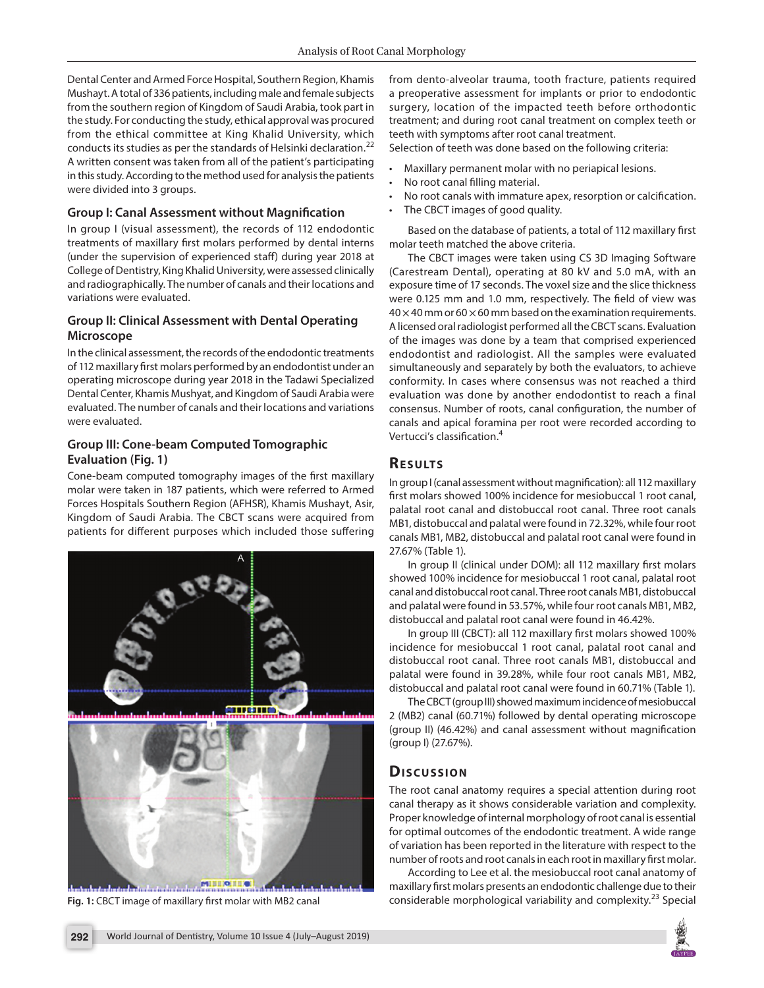Dental Center and Armed Force Hospital, Southern Region, Khamis Mushayt. A total of 336 patients, including male and female subjects from the southern region of Kingdom of Saudi Arabia, took part in the study. For conducting the study, ethical approval was procured from the ethical committee at King Khalid University, which conducts its studies as per the standards of Helsinki declaration.<sup>22</sup> A written consent was taken from all of the patient's participating in this study. According to the method used for analysis the patients were divided into 3 groups.

#### **Group I: Canal Assessment without Magnification**

In group I (visual assessment), the records of 112 endodontic treatments of maxillary first molars performed by dental interns (under the supervision of experienced staff) during year 2018 at College of Dentistry, King Khalid University, were assessed clinically and radiographically. The number of canals and their locations and variations were evaluated.

#### **Group II: Clinical Assessment with Dental Operating Microscope**

In the clinical assessment, the records of the endodontic treatments of 112 maxillary first molars performed by an endodontist under an operating microscope during year 2018 in the Tadawi Specialized Dental Center, Khamis Mushyat, and Kingdom of Saudi Arabia were evaluated. The number of canals and their locations and variations were evaluated.

#### **Group III: Cone-beam Computed Tomographic Evaluation (Fig. 1)**

Cone-beam computed tomography images of the first maxillary molar were taken in 187 patients, which were referred to Armed Forces Hospitals Southern Region (AFHSR), Khamis Mushayt, Asir, Kingdom of Saudi Arabia. The CBCT scans were acquired from patients for different purposes which included those suffering



from dento-alveolar trauma, tooth fracture, patients required a preoperative assessment for implants or prior to endodontic surgery, location of the impacted teeth before orthodontic treatment; and during root canal treatment on complex teeth or teeth with symptoms after root canal treatment.

Selection of teeth was done based on the following criteria:

- Maxillary permanent molar with no periapical lesions.
- No root canal filling material.
- No root canals with immature apex, resorption or calcification.
- The CBCT images of good quality.

Based on the database of patients, a total of 112 maxillary first molar teeth matched the above criteria.

The CBCT images were taken using CS 3D Imaging Software (Carestream Dental), operating at 80 kV and 5.0 mA, with an exposure time of 17 seconds. The voxel size and the slice thickness were 0.125 mm and 1.0 mm, respectively. The field of view was  $40 \times 40$  mm or 60  $\times$  60 mm based on the examination requirements. A licensed oral radiologist performed all the CBCT scans. Evaluation of the images was done by a team that comprised experienced endodontist and radiologist. All the samples were evaluated simultaneously and separately by both the evaluators, to achieve conformity. In cases where consensus was not reached a third evaluation was done by another endodontist to reach a final consensus. Number of roots, canal configuration, the number of canals and apical foramina per root were recorded according to Vertucci's classification.<sup>4</sup>

# **RESULTS**

In group I (canal assessment without magnification): all 112 maxillary first molars showed 100% incidence for mesiobuccal 1 root canal, palatal root canal and distobuccal root canal. Three root canals MB1, distobuccal and palatal were found in 72.32%, while four root canals MB1, MB2, distobuccal and palatal root canal were found in 27.67% (Table 1).

In group II (clinical under DOM): all 112 maxillary first molars showed 100% incidence for mesiobuccal 1 root canal, palatal root canal and distobuccal root canal. Three root canals MB1, distobuccal and palatal were found in 53.57%, while four root canals MB1, MB2, distobuccal and palatal root canal were found in 46.42%.

In group III (CBCT): all 112 maxillary first molars showed 100% incidence for mesiobuccal 1 root canal, palatal root canal and distobuccal root canal. Three root canals MB1, distobuccal and palatal were found in 39.28%, while four root canals MB1, MB2, distobuccal and palatal root canal were found in 60.71% (Table 1).

The CBCT (group III) showed maximum incidence of mesiobuccal 2 (MB2) canal (60.71%) followed by dental operating microscope (group II) (46.42%) and canal assessment without magnification (group I) (27.67%).

## **Dis c u s sio n**

The root canal anatomy requires a special attention during root canal therapy as it shows considerable variation and complexity. Proper knowledge of internal morphology of root canal is essential for optimal outcomes of the endodontic treatment. A wide range of variation has been reported in the literature with respect to the number of roots and root canals in each root in maxillary first molar.

According to Lee et al. the mesiobuccal root canal anatomy of maxillary first molars presents an endodontic challenge due to their considerable morphological variability and considerable morphological variability and complexity.<sup>23</sup> Special **Fig. 1:** CBCT image of maxillary first molar with MB2 canal considerable morphological variability and complexi

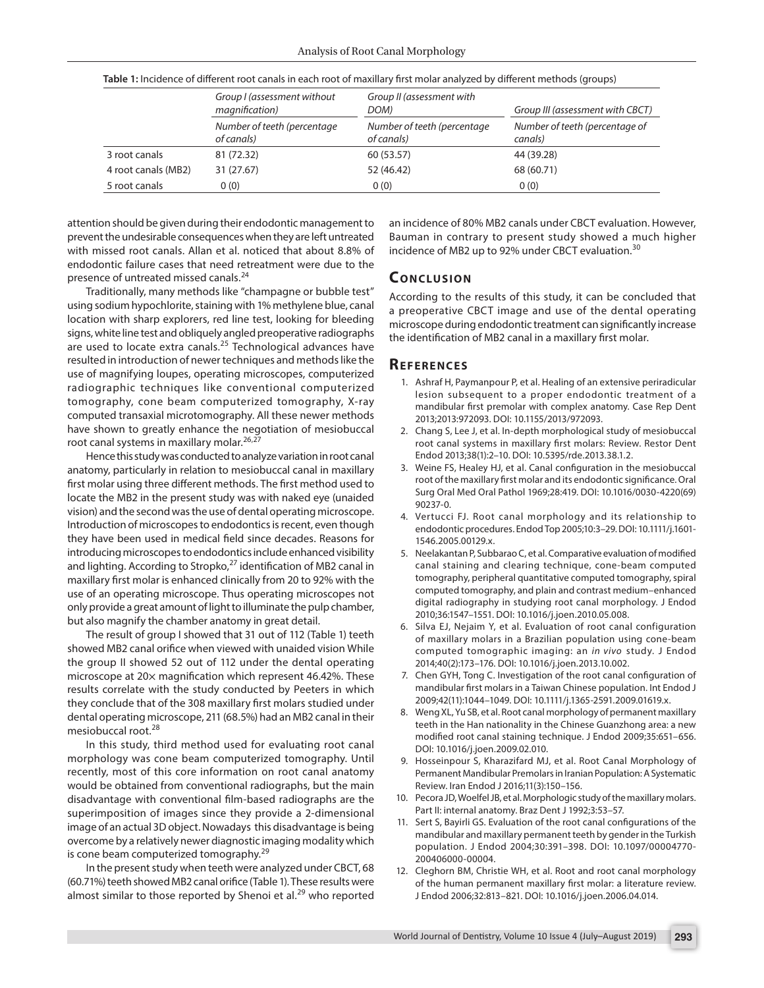|                     | Group I (assessment without<br>magnification)<br>Number of teeth (percentage<br>of canals) | Group II (assessment with<br>DOM)<br>Number of teeth (percentage<br>of canals) | Group III (assessment with CBCT)<br>Number of teeth (percentage of<br>canals) |
|---------------------|--------------------------------------------------------------------------------------------|--------------------------------------------------------------------------------|-------------------------------------------------------------------------------|
|                     |                                                                                            |                                                                                |                                                                               |
| 3 root canals       | 81 (72.32)                                                                                 | 60 (53.57)                                                                     | 44 (39.28)                                                                    |
| 4 root canals (MB2) | 31 (27.67)                                                                                 | 52 (46.42)                                                                     | 68 (60.71)                                                                    |
| 5 root canals       | 0(0)                                                                                       | 0(0)                                                                           | 0(0)                                                                          |

**Table 1:** Incidence of different root canals in each root of maxillary first molar analyzed by different methods (groups)

attention should be given during their endodontic management to prevent the undesirable consequences when they are left untreated with missed root canals. Allan et al. noticed that about 8.8% of endodontic failure cases that need retreatment were due to the presence of untreated missed canals.<sup>24</sup>

Traditionally, many methods like "champagne or bubble test" using sodium hypochlorite, staining with 1% methylene blue, canal location with sharp explorers, red line test, looking for bleeding signs, white line test and obliquely angled preoperative radiographs are used to locate extra canals.<sup>25</sup> Technological advances have resulted in introduction of newer techniques and methods like the use of magnifying loupes, operating microscopes, computerized radiographic techniques like conventional computerized tomography, cone beam computerized tomography, X-ray computed transaxial microtomography. All these newer methods have shown to greatly enhance the negotiation of mesiobuccal root canal systems in maxillary molar.<sup>26,27</sup>

Hence this study was conducted to analyze variation in root canal anatomy, particularly in relation to mesiobuccal canal in maxillary first molar using three different methods. The first method used to locate the MB2 in the present study was with naked eye (unaided vision) and the second was the use of dental operating microscope. Introduction of microscopes to endodontics is recent, even though they have been used in medical field since decades. Reasons for introducing microscopes to endodontics include enhanced visibility and lighting. According to Stropko,<sup>27</sup> identification of MB2 canal in maxillary first molar is enhanced clinically from 20 to 92% with the use of an operating microscope. Thus operating microscopes not only provide a great amount of light to illuminate the pulp chamber, but also magnify the chamber anatomy in great detail.

The result of group I showed that 31 out of 112 (Table 1) teeth showed MB2 canal orifice when viewed with unaided vision While the group II showed 52 out of 112 under the dental operating microscope at 20× magnification which represent 46.42%. These results correlate with the study conducted by Peeters in which they conclude that of the 308 maxillary first molars studied under dental operating microscope, 211 (68.5%) had an MB2 canal in their mesiobuccal root.<sup>28</sup>

In this study, third method used for evaluating root canal morphology was cone beam computerized tomography. Until recently, most of this core information on root canal anatomy would be obtained from conventional radiographs, but the main disadvantage with conventional film-based radiographs are the superimposition of images since they provide a 2-dimensional image of an actual 3D object. Nowadays this disadvantage is being overcome by a relatively newer diagnostic imaging modality which is cone beam computerized tomography.<sup>29</sup>

In the present study when teeth were analyzed under CBCT, 68 (60.71%) teeth showed MB2 canal orifice (Table 1). These results were almost similar to those reported by Shenoi et al. $^{29}$  who reported

an incidence of 80% MB2 canals under CBCT evaluation. However, Bauman in contrary to present study showed a much higher incidence of MB2 up to 92% under CBCT evaluation.<sup>30</sup>

## **CONCLUSION**

According to the results of this study, it can be concluded that a preoperative CBCT image and use of the dental operating microscope during endodontic treatment can significantly increase the identification of MB2 canal in a maxillary first molar.

#### **Re f e r e n c e s**

- 1. Ashraf H, Paymanpour P, et al. Healing of an extensive periradicular lesion subsequent to a proper endodontic treatment of a mandibular first premolar with complex anatomy. Case Rep Dent 2013;2013:972093. DOI: 10.1155/2013/972093.
- 2. Chang S, Lee J, et al. In-depth morphological study of mesiobuccal root canal systems in maxillary first molars: Review. Restor Dent Endod 2013;38(1):2–10. DOI: 10.5395/rde.2013.38.1.2.
- 3. Weine FS, Healey HJ, et al. Canal configuration in the mesiobuccal root of the maxillary first molar and its endodontic significance. Oral Surg Oral Med Oral Pathol 1969;28:419. DOI: 10.1016/0030-4220(69) 90237-0.
- 4. Vertucci FJ. Root canal morphology and its relationship to endodontic procedures. Endod Top 2005;10:3–29. DOI: 10.1111/j.1601- 1546.2005.00129.x.
- 5. Neelakantan P, Subbarao C, et al. Comparative evaluation of modified canal staining and clearing technique, cone-beam computed tomography, peripheral quantitative computed tomography, spiral computed tomography, and plain and contrast medium–enhanced digital radiography in studying root canal morphology. J Endod 2010;36:1547–1551. DOI: 10.1016/j.joen.2010.05.008.
- 6. Silva EJ, Nejaim Y, et al. Evaluation of root canal configuration of maxillary molars in a Brazilian population using cone-beam computed tomographic imaging: an *in vivo* study. J Endod 2014;40(2):173–176. DOI: 10.1016/j.joen.2013.10.002.
- 7. Chen GYH, Tong C. Investigation of the root canal configuration of mandibular first molars in a Taiwan Chinese population. Int Endod J 2009;42(11):1044–1049. DOI: 10.1111/j.1365-2591.2009.01619.x.
- 8. Weng XL, Yu SB, et al. Root canal morphology of permanent maxillary teeth in the Han nationality in the Chinese Guanzhong area: a new modified root canal staining technique. J Endod 2009;35:651–656. DOI: 10.1016/j.joen.2009.02.010.
- 9. Hosseinpour S, Kharazifard MJ, et al. Root Canal Morphology of Permanent Mandibular Premolars in Iranian Population: A Systematic Review. Iran Endod J 2016;11(3):150–156.
- 10. Pecora JD, Woelfel JB, et al. Morphologic study of the maxillary molars. Part II: internal anatomy. Braz Dent J 1992;3:53–57.
- 11. Sert S, Bayirli GS. Evaluation of the root canal configurations of the mandibular and maxillary permanent teeth by gender in the Turkish population. J Endod 2004;30:391–398. DOI: 10.1097/00004770- 200406000-00004.
- 12. Cleghorn BM, Christie WH, et al. Root and root canal morphology of the human permanent maxillary first molar: a literature review. J Endod 2006;32:813–821. DOI: 10.1016/j.joen.2006.04.014.